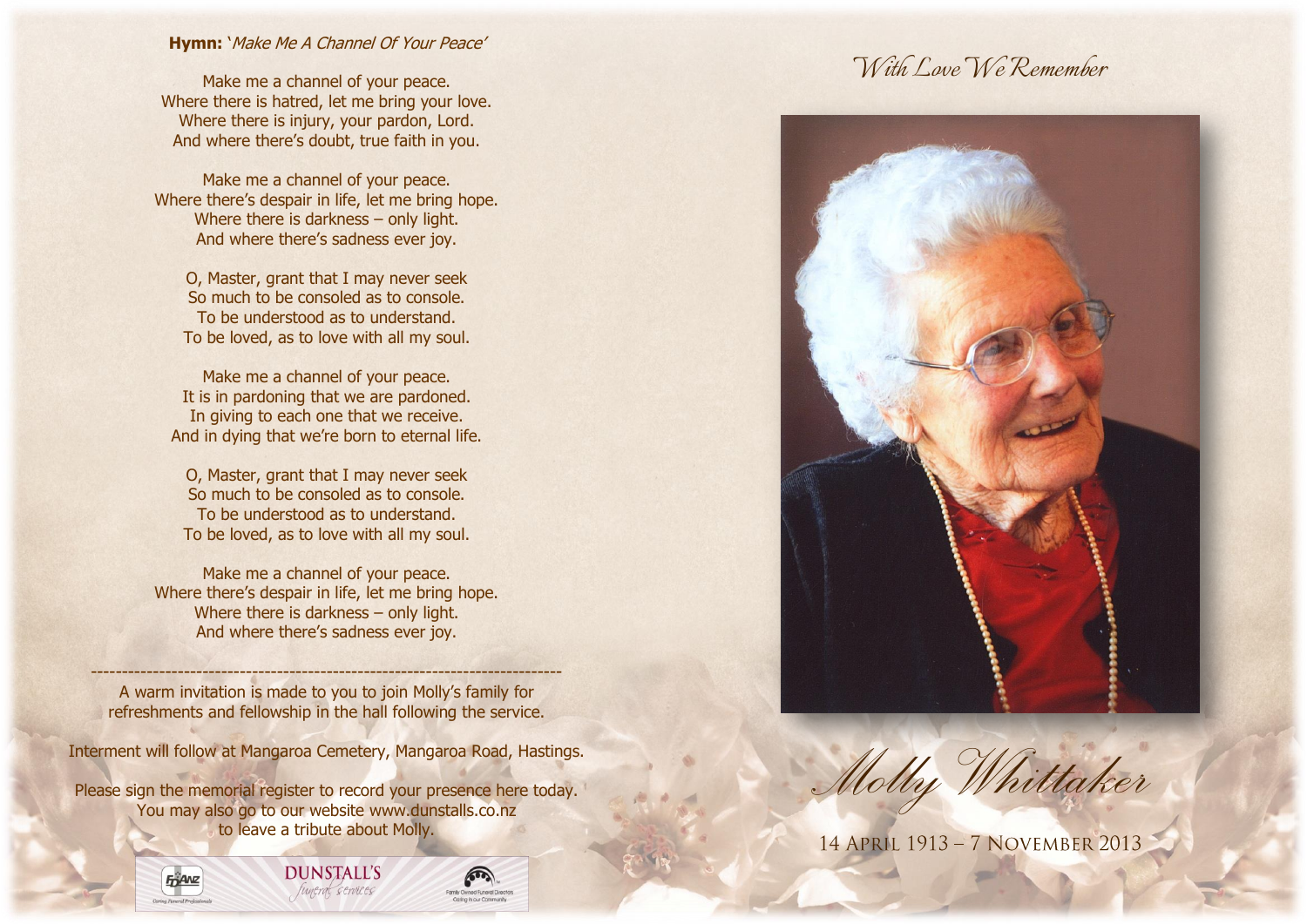# **Hymn:** 'Make Me A Channel Of Your Peace'

Make me a channel of your peace. Where there is hatred, let me bring your love. Where there is injury, your pardon, Lord. And where there's doubt, true faith in you.

Make me a channel of your peace. Where there's despair in life, let me bring hope. Where there is darkness – only light. And where there's sadness ever joy.

O, Master, grant that I may never seek So much to be consoled as to console. To be understood as to understand. To be loved, as to love with all my soul.

Make me a channel of your peace. It is in pardoning that we are pardoned. In giving to each one that we receive. And in dying that we're born to eternal life.

O, Master, grant that I may never seek So much to be consoled as to console. To be understood as to understand. To be loved, as to love with all my soul.

Make me a channel of your peace. Where there's despair in life, let me bring hope. Where there is darkness – only light. And where there's sadness ever joy.

---------------------------------------------------------------------------- A warm invitation is made to you to join Molly's family for refreshments and fellowship in the hall following the service.

Interment will follow at Mangaroa Cemetery, Mangaroa Road, Hastings.

Please sign the memorial register to record your presence here today. You may also go to our website [www.dunstalls.co.nz](http://www.dunstalls.co.nz/) to leave a tribute about Molly.

> **DUNSTALL'S** funeral services





# *With Love We Remember*



*Molly Whittaker*

14 APRIL 1913 - 7 NOVEMBER 2013